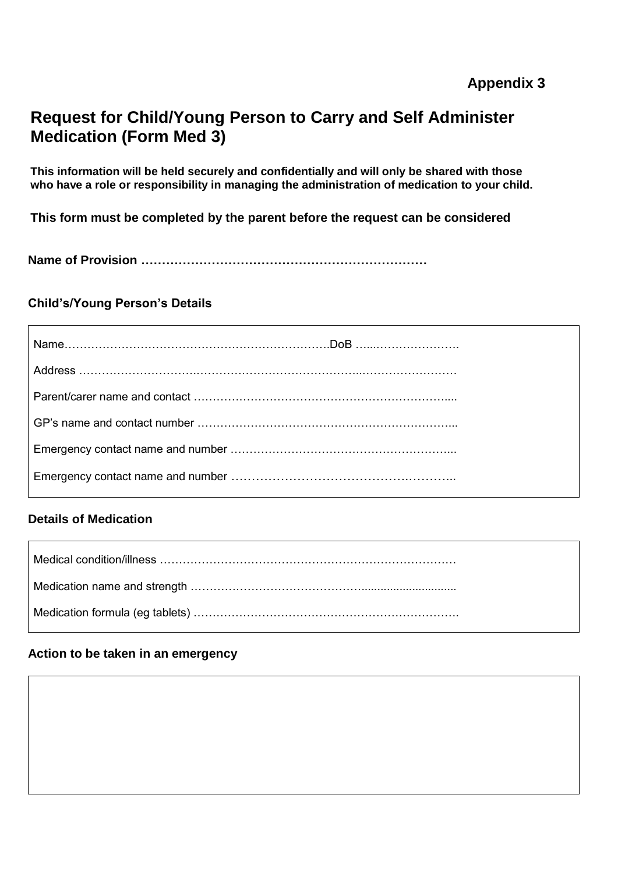# **Request for Child/Young Person to Carry and Self Administer Medication (Form Med 3)**

**This information will be held securely and confidentially and will only be shared with those who have a role or responsibility in managing the administration of medication to your child.**

**This form must be completed by the parent before the request can be considered**

**Name of Provision ……………………………………………………………**

# **Child's/Young Person's Details**

# **Details of Medication**

#### **Action to be taken in an emergency**